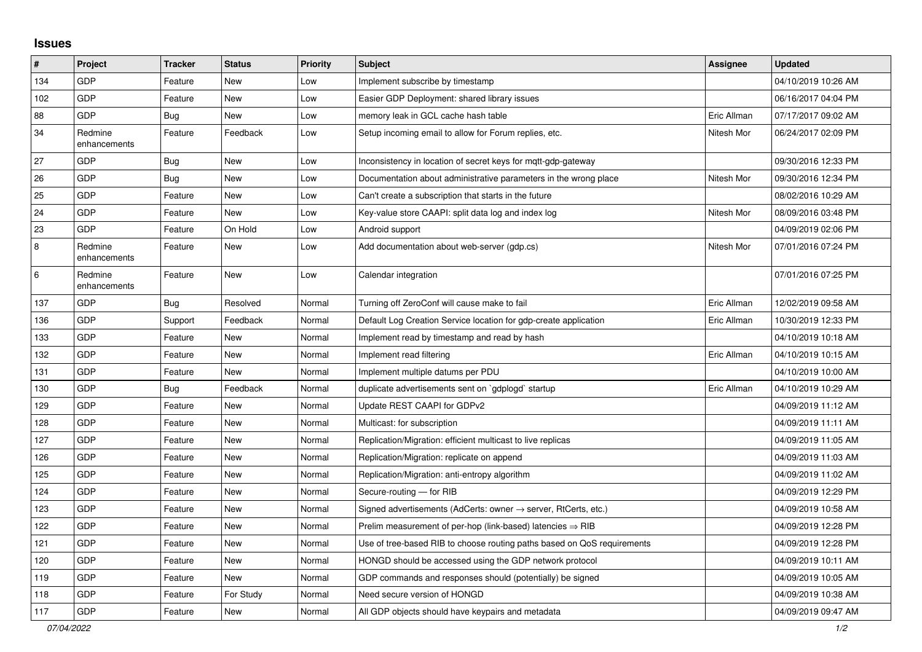## **Issues**

| #   | Project                 | <b>Tracker</b> | <b>Status</b> | <b>Priority</b> | <b>Subject</b>                                                          | Assignee    | <b>Updated</b>      |
|-----|-------------------------|----------------|---------------|-----------------|-------------------------------------------------------------------------|-------------|---------------------|
| 134 | GDP                     | Feature        | <b>New</b>    | Low             | Implement subscribe by timestamp                                        |             | 04/10/2019 10:26 AM |
| 102 | <b>GDP</b>              | Feature        | <b>New</b>    | Low             | Easier GDP Deployment: shared library issues                            |             | 06/16/2017 04:04 PM |
| 88  | <b>GDP</b>              | Bug            | <b>New</b>    | Low             | memory leak in GCL cache hash table                                     | Eric Allman | 07/17/2017 09:02 AM |
| 34  | Redmine<br>enhancements | Feature        | Feedback      | Low             | Setup incoming email to allow for Forum replies, etc.                   | Nitesh Mor  | 06/24/2017 02:09 PM |
| 27  | <b>GDP</b>              | <b>Bug</b>     | <b>New</b>    | Low             | Inconsistency in location of secret keys for mgtt-gdp-gateway           |             | 09/30/2016 12:33 PM |
| 26  | GDP                     | <b>Bug</b>     | <b>New</b>    | Low             | Documentation about administrative parameters in the wrong place        | Nitesh Mor  | 09/30/2016 12:34 PM |
| 25  | GDP                     | Feature        | <b>New</b>    | Low             | Can't create a subscription that starts in the future                   |             | 08/02/2016 10:29 AM |
| 24  | <b>GDP</b>              | Feature        | <b>New</b>    | Low             | Key-value store CAAPI: split data log and index log                     | Nitesh Mor  | 08/09/2016 03:48 PM |
| 23  | <b>GDP</b>              | Feature        | On Hold       | Low             | Android support                                                         |             | 04/09/2019 02:06 PM |
| 8   | Redmine<br>enhancements | Feature        | New           | Low             | Add documentation about web-server (gdp.cs)                             | Nitesh Mor  | 07/01/2016 07:24 PM |
| 6   | Redmine<br>enhancements | Feature        | <b>New</b>    | Low             | Calendar integration                                                    |             | 07/01/2016 07:25 PM |
| 137 | <b>GDP</b>              | <b>Bug</b>     | Resolved      | Normal          | Turning off ZeroConf will cause make to fail                            | Eric Allman | 12/02/2019 09:58 AM |
| 136 | GDP                     | Support        | Feedback      | Normal          | Default Log Creation Service location for gdp-create application        | Eric Allman | 10/30/2019 12:33 PM |
| 133 | <b>GDP</b>              | Feature        | <b>New</b>    | Normal          | Implement read by timestamp and read by hash                            |             | 04/10/2019 10:18 AM |
| 132 | GDP                     | Feature        | New           | Normal          | Implement read filtering                                                | Eric Allman | 04/10/2019 10:15 AM |
| 131 | GDP                     | Feature        | New           | Normal          | Implement multiple datums per PDU                                       |             | 04/10/2019 10:00 AM |
| 130 | GDP                     | Bug            | Feedback      | Normal          | duplicate advertisements sent on `gdplogd` startup                      | Eric Allman | 04/10/2019 10:29 AM |
| 129 | GDP                     | Feature        | <b>New</b>    | Normal          | Update REST CAAPI for GDPv2                                             |             | 04/09/2019 11:12 AM |
| 128 | GDP                     | Feature        | <b>New</b>    | Normal          | Multicast: for subscription                                             |             | 04/09/2019 11:11 AM |
| 127 | <b>GDP</b>              | Feature        | <b>New</b>    | Normal          | Replication/Migration: efficient multicast to live replicas             |             | 04/09/2019 11:05 AM |
| 126 | <b>GDP</b>              | Feature        | New           | Normal          | Replication/Migration: replicate on append                              |             | 04/09/2019 11:03 AM |
| 125 | <b>GDP</b>              | Feature        | <b>New</b>    | Normal          | Replication/Migration: anti-entropy algorithm                           |             | 04/09/2019 11:02 AM |
| 124 | <b>GDP</b>              | Feature        | <b>New</b>    | Normal          | Secure-routing - for RIB                                                |             | 04/09/2019 12:29 PM |
| 123 | GDP                     | Feature        | New           | Normal          | Signed advertisements (AdCerts: owner → server, RtCerts, etc.)          |             | 04/09/2019 10:58 AM |
| 122 | GDP                     | Feature        | <b>New</b>    | Normal          | Prelim measurement of per-hop (link-based) latencies $\Rightarrow$ RIB  |             | 04/09/2019 12:28 PM |
| 121 | GDP                     | Feature        | New           | Normal          | Use of tree-based RIB to choose routing paths based on QoS requirements |             | 04/09/2019 12:28 PM |
| 120 | GDP                     | Feature        | <b>New</b>    | Normal          | HONGD should be accessed using the GDP network protocol                 |             | 04/09/2019 10:11 AM |
| 119 | GDP                     | Feature        | New           | Normal          | GDP commands and responses should (potentially) be signed               |             | 04/09/2019 10:05 AM |
| 118 | GDP                     | Feature        | For Study     | Normal          | Need secure version of HONGD                                            |             | 04/09/2019 10:38 AM |
| 117 | <b>GDP</b>              | Feature        | <b>New</b>    | Normal          | All GDP objects should have keypairs and metadata                       |             | 04/09/2019 09:47 AM |